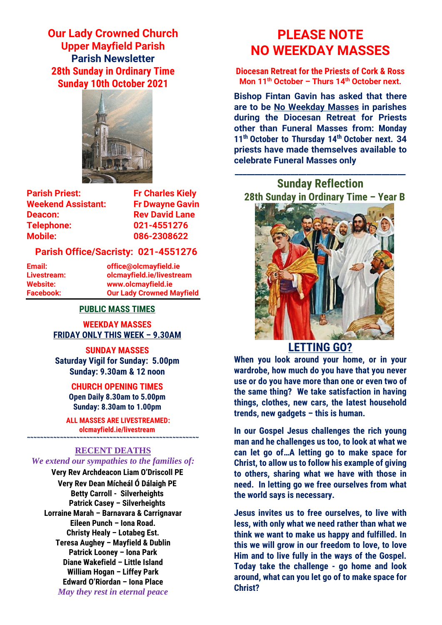**Our Lady Crowned Church Upper Mayfield Parish Parish Newsletter 28th Sunday in Ordinary Time Sunday 10th October 2021**



**Parish Priest:** Fr Charles Kielv **Weekend Assistant: Fr Dwayne Gavin Deacon:** Rev David Lane **Telephone: 021-4551276 Mobile: 086-2308622** 

#### **Parish Office/Sacristy: 021-4551276**

**Email: office@olcmayfield.ie Livestream: olcmayfield.ie/livestream Website: www.olcmayfield.ie Facebook: Our Lady Crowned Mayfield**

#### **PUBLIC MASS TIMES**

**WEEKDAY MASSES FRIDAY ONLY THIS WEEK – 9.30AM**

**SUNDAY MASSES Saturday Vigil for Sunday: 5.00pm Sunday: 9.30am & 12 noon**

> **CHURCH OPENING TIMES Open Daily 8.30am to 5.00pm Sunday: 8.30am to 1.00pm**

**ALL MASSES ARE LIVESTREAMED: olcmayfield.ie/livestream**

## **~~~~~~~~~~~~~~~~~~~~~~~~~~~~~~~~~~~~~~~~~~~~~~~~~~~~ RECENT DEATHS**

## *We extend our sympathies to the families of:*

**Very Rev Archdeacon Liam O'Driscoll PE Very Rev Dean Mícheál Ó Dálaigh PE Betty Carroll - Silverheights Patrick Casey – Silverheights Lorraine Marah – Barnavara & Carrignavar Eileen Punch – Iona Road. Christy Healy – Lotabeg Est. Teresa Aughey – Mayfield & Dublin Patrick Looney – Iona Park Diane Wakefield – Little Island William Hogan – Liffey Park Edward O'Riordan – Iona Place** *May they rest in eternal peace*

# **PLEASE NOTE NO WEEKDAY MASSES**

**Diocesan Retreat for the Priests of Cork & Ross Mon 11th October – Thurs 14th October next.**

**Bishop Fintan Gavin has asked that there are to be No Weekday Masses in parishes during the Diocesan Retreat for Priests other than Funeral Masses from: Monday 11th October to Thursday 14th October next. 34 priests have made themselves available to celebrate Funeral Masses only**

**Sunday Reflection 28th Sunday in Ordinary Time – Year B**

**\_\_\_\_\_\_\_\_\_\_\_\_\_\_\_\_\_\_\_\_\_\_\_\_\_\_\_\_\_\_\_\_\_\_\_\_\_\_\_\_\_\_\_**



# **LETTING GO?**

**When you look around your home, or in your wardrobe, how much do you have that you never use or do you have more than one or even two of the same thing? We take satisfaction in having things, clothes, new cars, the latest household trends, new gadgets – this is human.** 

**In our Gospel Jesus challenges the rich young man and he challenges us too, to look at what we can let go of…A letting go to make space for Christ, to allow us to follow his example of giving to others, sharing what we have with those in need. In letting go we free ourselves from what the world says is necessary.** 

**Jesus invites us to free ourselves, to live with less, with only what we need rather than what we think we want to make us happy and fulfilled. In this we will grow in our freedom to love, to love Him and to live fully in the ways of the Gospel. Today take the challenge - go home and look around, what can you let go of to make space for Christ?**